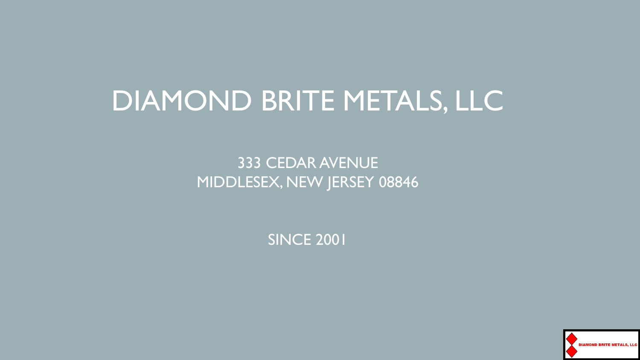### DIAMOND BRITE METALS, LLC

333 CEDAR AVENUE MIDDLESEX, NEW JERSEY 08846

SINCE 2001

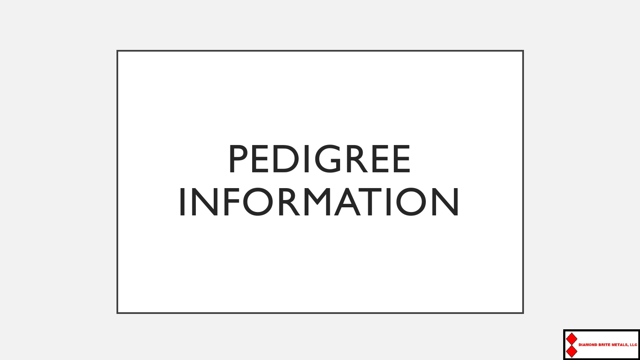

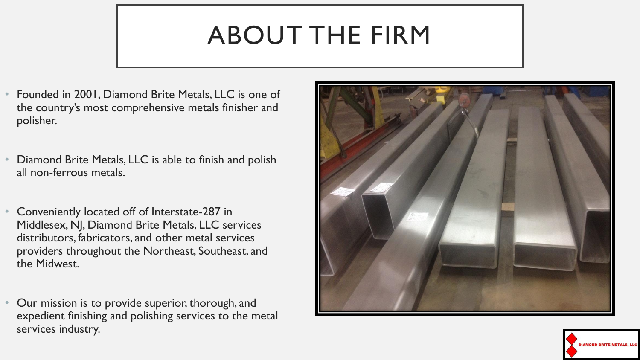### ABOUT THE FIRM

- Founded in 2001, Diamond Brite Metals, LLC is one of the country's most comprehensive metals finisher and polisher.
- Diamond Brite Metals, LLC is able to finish and polish all non-ferrous metals.
- Conveniently located off of Interstate-287 in Middlesex, NJ, Diamond Brite Metals, LLC services distributors, fabricators, and other metal services providers throughout the Northeast, Southeast, and the Midwest.
- Our mission is to provide superior, thorough, and expedient finishing and polishing services to the metal services industry.



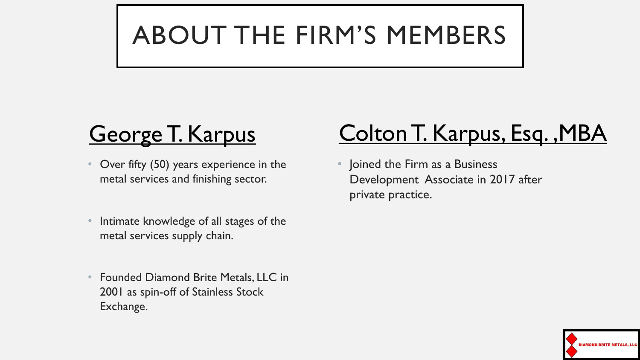## ABOUT THE FIRM'S MEMBERS

- Over fifty (50) years experience in the metal services and finishing sector.
- Intimate knowledge of all stages of the metal services supply chain.
- Founded Diamond Brite Metals, LLC in 2001 as spin-off of Stainless Stock Exchange.

### George T. Karpus Colton T. Karpus, Esq., MBA

• Joined the Firm as a Business Development Associate in 2017 after private practice.

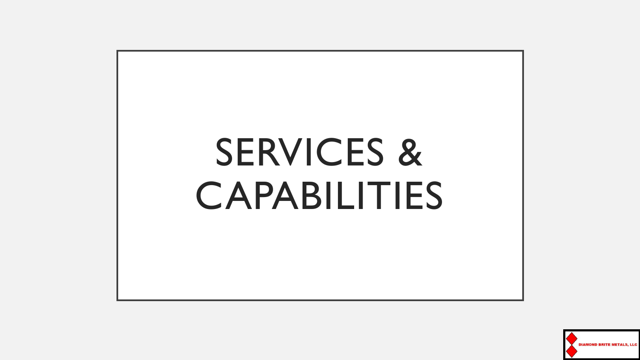# SERVICES & CAPABILITIES

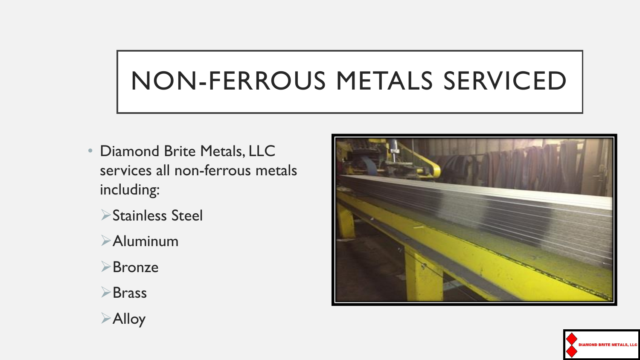### NON-FERROUS METALS SERVICED

- Diamond Brite Metals, LLC services all non-ferrous metals including:
	- ➢Stainless Steel
	- ➢Aluminum
	- ➢Bronze
	- ➢Brass
	- ➢Alloy



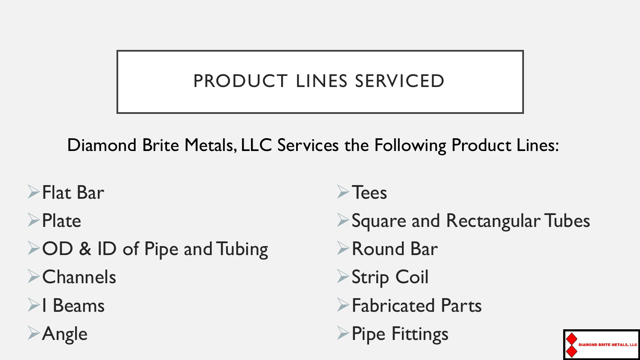### PRODUCT LINES SERVICED

Diamond Brite Metals, LLC Services the Following Product Lines:

- ➢Flat Bar
- ➢Plate
- ➢OD & ID of Pipe and Tubing ➢Channels
- ➢I Beams

➢Angle

- ➢Tees
- ➢Square and Rectangular Tubes
- ➢Round Bar
- ➢Strip Coil
- ➢Fabricated Parts
- ➢Pipe Fittings

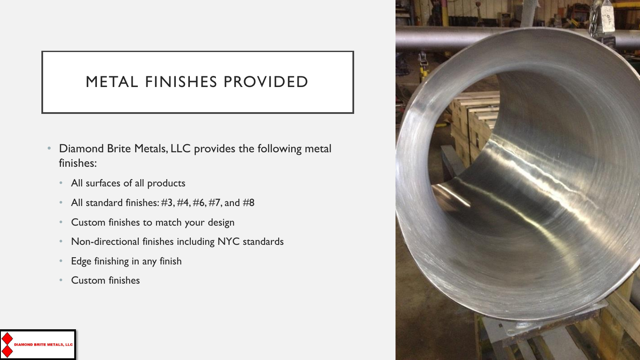#### METAL FINISHES PROVIDED

- Diamond Brite Metals, LLC provides the following metal finishes:
	- All surfaces of all products
	- All standard finishes:  $\#3, \#4, \#6, \#7,$  and  $\#8$
	- Custom finishes to match your design
	- Non-directional finishes including NYC standards
	- Edge finishing in any finish
	- Custom finishes



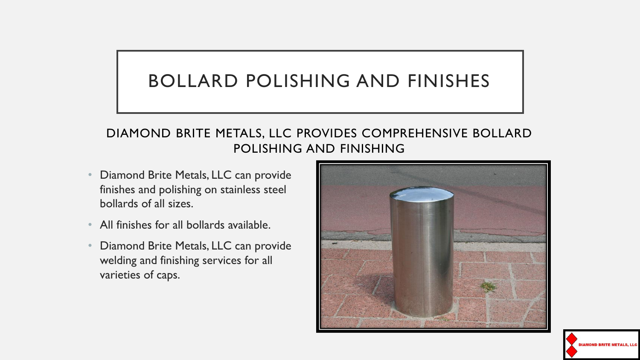#### BOLLARD POLISHING AND FINISHES

#### DIAMOND BRITE METALS, LLC PROVIDES COMPREHENSIVE BOLLARD POLISHING AND FINISHING

- Diamond Brite Metals, LLC can provide finishes and polishing on stainless steel bollards of all sizes.
- All finishes for all bollards available.
- Diamond Brite Metals, LLC can provide welding and finishing services for all varieties of caps.



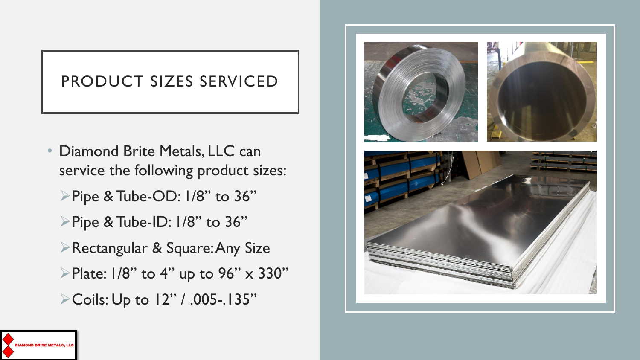#### PRODUCT SIZES SERVICED

- Diamond Brite Metals, LLC can service the following product sizes:
	- ➢Pipe & Tube-OD: 1/8" to 36"
	- ➢Pipe & Tube-ID: 1/8" to 36"
	- ➢Rectangular & Square: Any Size
	- $\blacktriangleright$ Plate: 1/8" to 4" up to 96" x 330"
	- ➢Coils: Up to 12" / .005-.135"



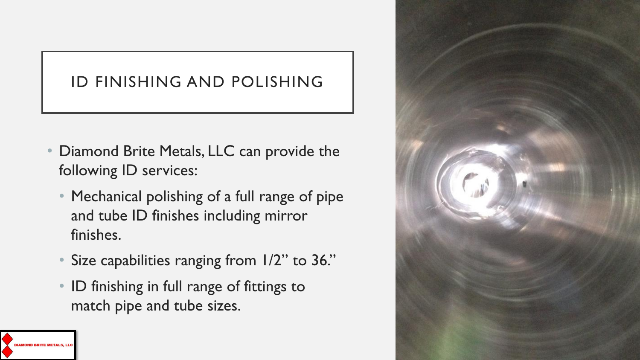#### ID FINISHING AND POLISHING

- Diamond Brite Metals, LLC can provide the following ID services:
	- Mechanical polishing of a full range of pipe and tube ID finishes including mirror finishes.
	- Size capabilities ranging from 1/2" to 36."
	- ID finishing in full range of fittings to match pipe and tube sizes.

**NAMOND RRITE METAL** 

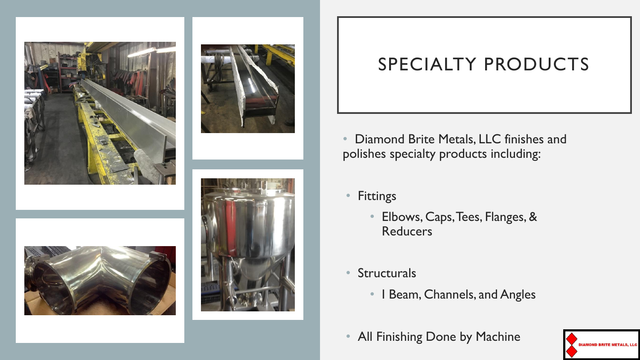





#### SPECIALTY PRODUCTS

- Diamond Brite Metals, LLC finishes and polishes specialty products including:
- **Fittings** 
	- Elbows, Caps, Tees, Flanges, & **Reducers**
- Structurals
	- I Beam, Channels, and Angles
- All Finishing Done by Machine



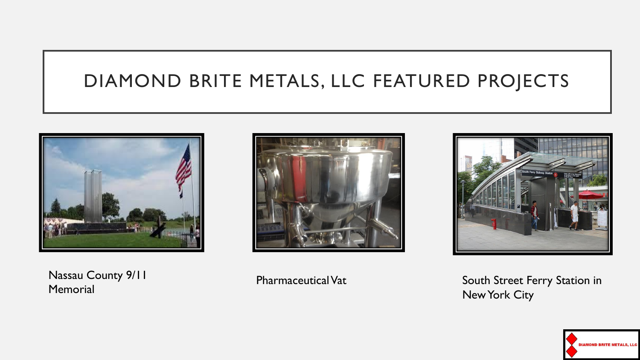#### DIAMOND BRITE METALS, LLC FEATURED PROJECTS



Nassau County 9/11 **Memorial** 





Pharmaceutical Vat **South Street Ferry Station in** New York City